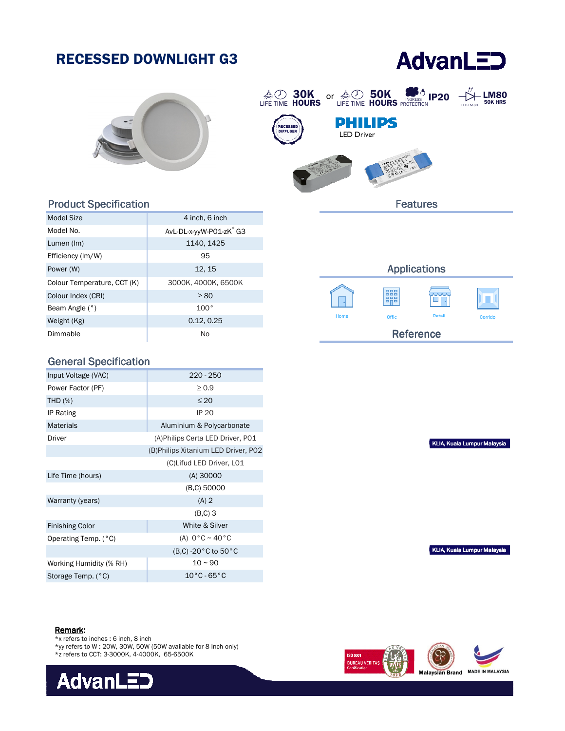# RECESSED DOWNLIGHT G3

# **AdvanLED**





#### Product Specification

| Model Size                  | 4 inch, 6 inch                      |
|-----------------------------|-------------------------------------|
| Model No.                   | AvL-DL-x-yyW-P01-zK <sup>*</sup> G3 |
| Lumen (Im)                  | 1140, 1425                          |
| Efficiency (Im/W)           | 95                                  |
| Power (W)                   | 12, 15                              |
| Colour Temperature, CCT (K) | 3000K, 4000K, 6500K                 |
| Colour Index (CRI)          | $\geq 80$                           |
| Beam Angle (°)              | 100°                                |
| Weight (Kg)                 | 0.12, 0.25                          |
| Dimmable                    | No                                  |

### General Specification

| Input Voltage (VAC)     | $220 - 250$                          |
|-------------------------|--------------------------------------|
| Power Factor (PF)       | $\geq 0.9$                           |
| <b>THD (%)</b>          | $\leq 20$                            |
| IP Rating               | <b>IP 20</b>                         |
| <b>Materials</b>        | Aluminium & Polycarbonate            |
| Driver                  | (A) Philips Certa LED Driver, P01    |
|                         | (B) Philips Xitanium LED Driver, P02 |
|                         | (C)Lifud LED Driver, L01             |
| Life Time (hours)       | $(A)$ 30000                          |
|                         | (B,C) 50000                          |
| Warranty (years)        | $(A)$ 2                              |
|                         | $(B,C)$ 3                            |
| <b>Finishing Color</b>  | White & Silver                       |
| Operating Temp. (°C)    | (A) $0^{\circ}$ C ~ 40 $^{\circ}$ C  |
|                         | (B,C) -20 °C to 50 °C                |
| Working Humidity (% RH) | $10 - 90$                            |
| Storage Temp. (°C)      | $10^{\circ}$ C - 65 $^{\circ}$ C     |

## Applications 睸 Offic Offic Retail Corrido Reference

KLIA, Kuala Lumpur Malaysia

KLIA, Kuala Lumpur Malaysia

#### Remark:

- \*x refers to inches : 6 inch, 8 inch
- \*yy refers to W : 20W, 30W, 50W (50W available for 8 Inch only)
- \*z refers to CCT: 3-3000K, 4-4000K, 65-6500K